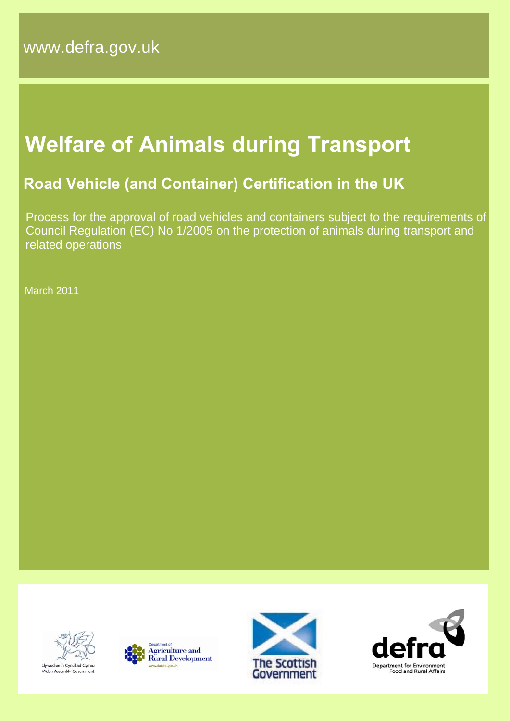# **Welfare of Animals during Transport**

# **Road Vehicle (and Container) Certification in the UK**

 Process for the approval of road vehicles and containers subject to the requirements of Council Regulation (EC) No 1/2005 on the protection of animals during transport and related operations

March 2011







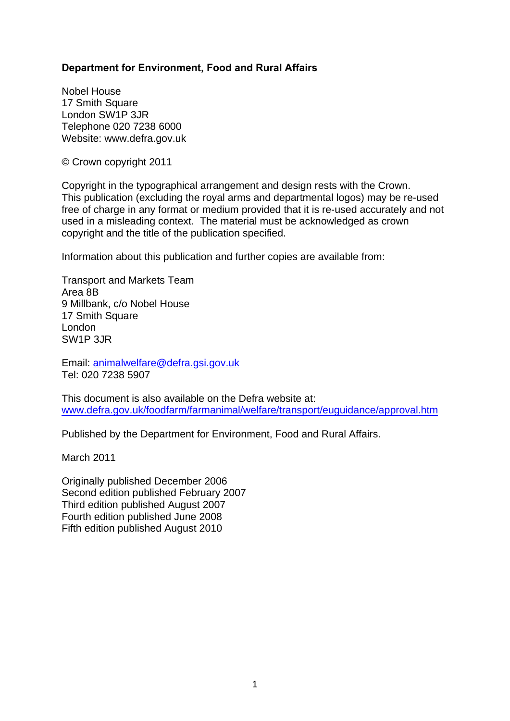#### **Department for Environment, Food and Rural Affairs**

Nobel House 17 Smith Square London SW1P 3JR Telephone 020 7238 6000 Website: www.defra.gov.uk

© Crown copyright 2011

Copyright in the typographical arrangement and design rests with the Crown. This publication (excluding the royal arms and departmental logos) may be re-used free of charge in any format or medium provided that it is re-used accurately and not used in a misleading context. The material must be acknowledged as crown copyright and the title of the publication specified.

Information about this publication and further copies are available from:

Transport and Markets Team Area 8B 9 Millbank, c/o Nobel House 17 Smith Square London SW1P 3JR

Email: [animalwelfare@defra.gsi.gov.uk](mailto:animalwelfare@defra.gsi.gov.uk) Tel: 020 7238 5907

This document is also available on the Defra website at: [www.defra.gov.uk/foodfarm/farmanimal/welfare/transport/euguidance/approval.htm](http://www.defra.gov.uk/foodfarm/farmanimal/welfare/transport/euguidance/approval.htm)

Published by the Department for Environment, Food and Rural Affairs.

March 2011

Originally published December 2006 Second edition published February 2007 Third edition published August 2007 Fourth edition published June 2008 Fifth edition published August 2010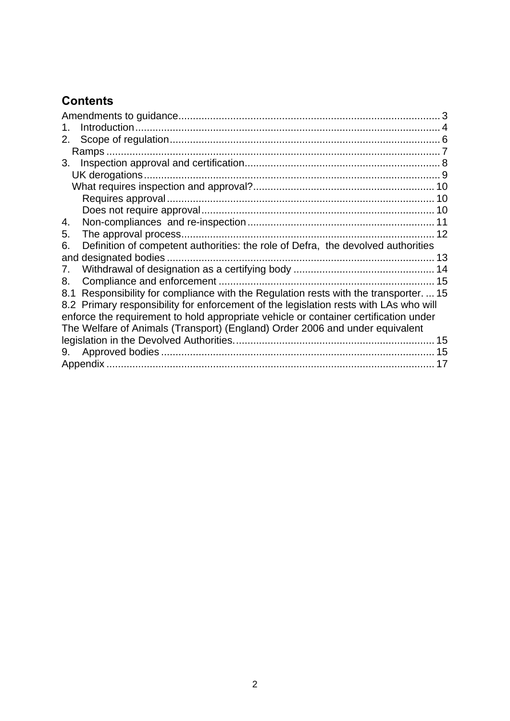## **Contents**

| 2.                                                                                       |
|------------------------------------------------------------------------------------------|
|                                                                                          |
| 3.                                                                                       |
|                                                                                          |
|                                                                                          |
|                                                                                          |
|                                                                                          |
| 4.                                                                                       |
| 5.                                                                                       |
| Definition of competent authorities: the role of Defra, the devolved authorities<br>6.   |
| and designated bodies.                                                                   |
| 7.                                                                                       |
| 8.<br>15                                                                                 |
| Responsibility for compliance with the Regulation rests with the transporter.  15<br>8.1 |
| 8.2 Primary responsibility for enforcement of the legislation rests with LAs who will    |
| enforce the requirement to hold appropriate vehicle or container certification under     |
| The Welfare of Animals (Transport) (England) Order 2006 and under equivalent             |
|                                                                                          |
| 15<br>9.                                                                                 |
|                                                                                          |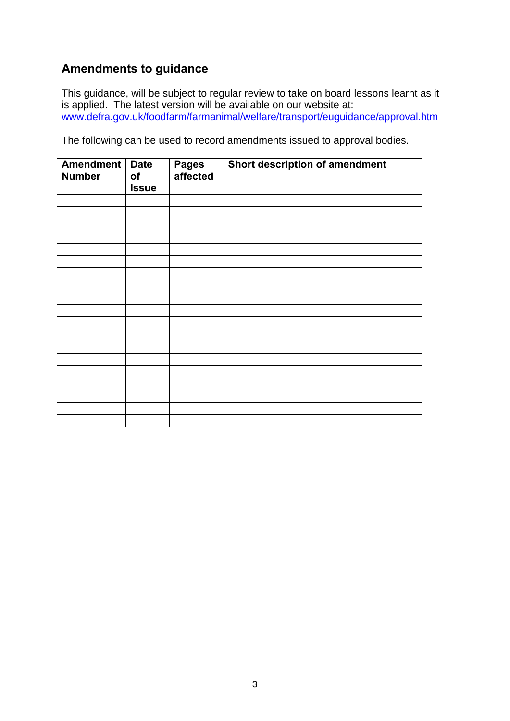## <span id="page-3-0"></span>**Amendments to guidance**

This guidance, will be subject to regular review to take on board lessons learnt as it is applied. The latest version will be available on our website at: [www.defra.gov.uk/foodfarm/farmanimal/welfare/transport/euguidance/approval.htm](http://www.defra.gov.uk/foodfarm/farmanimal/welfare/transport/euguidance/approval.htm)

The following can be used to record amendments issued to approval bodies.

| Amendment<br><b>Number</b> | <b>Date</b><br>of<br><b>Issue</b> | <b>Pages</b><br>affected | Short description of amendment |
|----------------------------|-----------------------------------|--------------------------|--------------------------------|
|                            |                                   |                          |                                |
|                            |                                   |                          |                                |
|                            |                                   |                          |                                |
|                            |                                   |                          |                                |
|                            |                                   |                          |                                |
|                            |                                   |                          |                                |
|                            |                                   |                          |                                |
|                            |                                   |                          |                                |
|                            |                                   |                          |                                |
|                            |                                   |                          |                                |
|                            |                                   |                          |                                |
|                            |                                   |                          |                                |
|                            |                                   |                          |                                |
|                            |                                   |                          |                                |
|                            |                                   |                          |                                |
|                            |                                   |                          |                                |
|                            |                                   |                          |                                |
|                            |                                   |                          |                                |
|                            |                                   |                          |                                |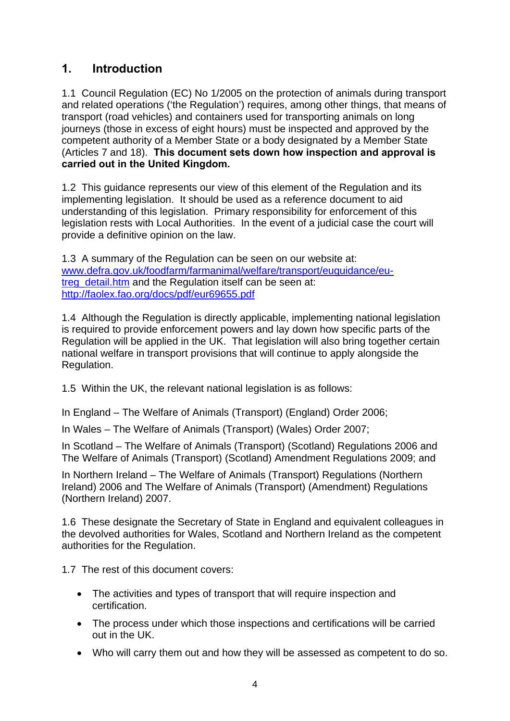## <span id="page-4-0"></span>**1. Introduction**

1.1 Council Regulation (EC) No 1/2005 on the protection of animals during transport and related operations ('the Regulation') requires, among other things, that means of transport (road vehicles) and containers used for transporting animals on long journeys (those in excess of eight hours) must be inspected and approved by the competent authority of a Member State or a body designated by a Member State (Articles 7 and 18). **This document sets down how inspection and approval is carried out in the United Kingdom.** 

1.2 This guidance represents our view of this element of the Regulation and its implementing legislation. It should be used as a reference document to aid understanding of this legislation. Primary responsibility for enforcement of this legislation rests with Local Authorities. In the event of a judicial case the court will provide a definitive opinion on the law.

1.3 A summary of the Regulation can be seen on our website at: [www.defra.gov.uk/foodfarm/farmanimal/welfare/transport/euguidance/eu](http://www.defra.gov.uk/foodfarm/farmanimal/welfare/transport/euguidance/eu-treg_detail.htm)[treg\\_detail.htm](http://www.defra.gov.uk/foodfarm/farmanimal/welfare/transport/euguidance/eu-treg_detail.htm) and the Regulation itself can be seen at: <http://faolex.fao.org/docs/pdf/eur69655.pdf>

1.4 Although the Regulation is directly applicable, implementing national legislation is required to provide enforcement powers and lay down how specific parts of the Regulation will be applied in the UK. That legislation will also bring together certain national welfare in transport provisions that will continue to apply alongside the Regulation.

1.5 Within the UK, the relevant national legislation is as follows:

In England – The Welfare of Animals (Transport) (England) Order 2006;

In Wales – The Welfare of Animals (Transport) (Wales) Order 2007;

In Scotland – The Welfare of Animals (Transport) (Scotland) Regulations 2006 and The Welfare of Animals (Transport) (Scotland) Amendment Regulations 2009; and

In Northern Ireland – The Welfare of Animals (Transport) Regulations (Northern Ireland) 2006 and The Welfare of Animals (Transport) (Amendment) Regulations (Northern Ireland) 2007.

1.6 These designate the Secretary of State in England and equivalent colleagues in the devolved authorities for Wales, Scotland and Northern Ireland as the competent authorities for the Regulation.

1.7 The rest of this document covers:

- The activities and types of transport that will require inspection and certification.
- The process under which those inspections and certifications will be carried out in the UK.
- Who will carry them out and how they will be assessed as competent to do so.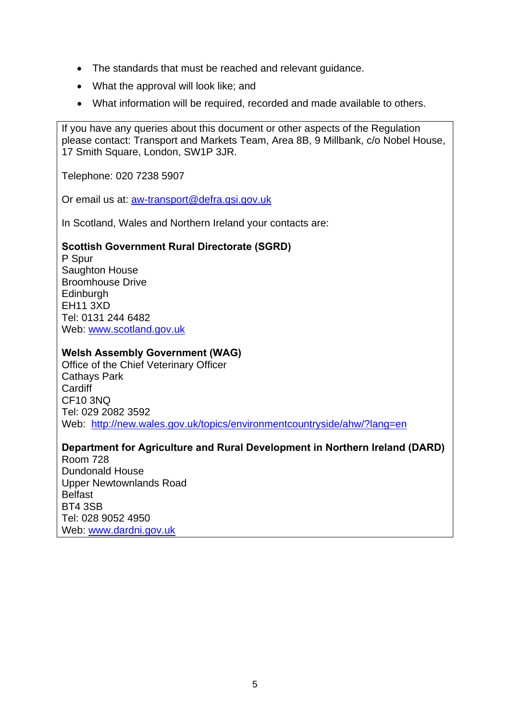- The standards that must be reached and relevant guidance.
- What the approval will look like: and
- What information will be required, recorded and made available to others.

If you have any queries about this document or other aspects of the Regulation please contact: Transport and Markets Team, Area 8B, 9 Millbank, c/o Nobel House, 17 Smith Square, London, SW1P 3JR.

Telephone: 020 7238 5907

Or email us at: [aw-transport@defra.gsi.gov.uk](mailto:aw-transport@defra.gsi.gov.uk)

In Scotland, Wales and Northern Ireland your contacts are:

#### **Scottish Government Rural Directorate (SGRD)**

P Spur Saughton House Broomhouse Drive **Edinburgh** EH11 3XD Tel: 0131 244 6482 Web: [www.scotland.gov.uk](http://www.scotland.gov.uk/)

#### **Welsh Assembly Government (WAG)**

Office of the Chief Veterinary Officer Cathays Park **Cardiff** CF10 3NQ Tel: 029 2082 3592 Web: <http://new.wales.gov.uk/topics/environmentcountryside/ahw/?lang=en>

#### **Department for Agriculture and Rural Development in Northern Ireland (DARD)**

Room 728 Dundonald House Upper Newtownlands Road Belfast BT4 3SB Tel: 028 9052 4950 Web: [www.dardni.gov.uk](http://www.dardni.gov.uk/)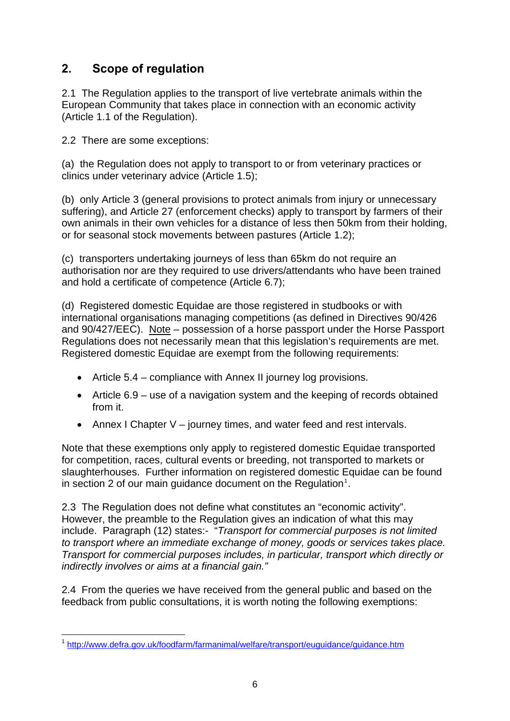## <span id="page-6-0"></span>**2. Scope of regulation**

2.1 The Regulation applies to the transport of live vertebrate animals within the European Community that takes place in connection with an economic activity (Article 1.1 of the Regulation).

2.2 There are some exceptions:

(a) the Regulation does not apply to transport to or from veterinary practices or clinics under veterinary advice (Article 1.5);

(b) only Article 3 (general provisions to protect animals from injury or unnecessary suffering), and Article 27 (enforcement checks) apply to transport by farmers of their own animals in their own vehicles for a distance of less then 50km from their holding, or for seasonal stock movements between pastures (Article 1.2);

(c) transporters undertaking journeys of less than 65km do not require an authorisation nor are they required to use drivers/attendants who have been trained and hold a certificate of competence (Article 6.7);

(d) Registered domestic Equidae are those registered in studbooks or with international organisations managing competitions (as defined in Directives 90/426 and 90/427/EEC). Note – possession of a horse passport under the Horse Passport Regulations does not necessarily mean that this legislation's requirements are met. Registered domestic Equidae are exempt from the following requirements:

- Article 5.4 compliance with Annex II journey log provisions.
- Article 6.9 use of a navigation system and the keeping of records obtained from it.
- Annex I Chapter V journey times, and water feed and rest intervals.

Note that these exemptions only apply to registered domestic Equidae transported for competition, races, cultural events or breeding, not transported to markets or slaughterhouses. Further information on registered domestic Equidae can be found in section 2 of our main guidance document on the Regulation<sup>[1](#page-6-1)</sup>.

2.3 The Regulation does not define what constitutes an "economic activity". However, the preamble to the Regulation gives an indication of what this may include. Paragraph (12) states:- "*Transport for commercial purposes is not limited to transport where an immediate exchange of money, goods or services takes place. Transport for commercial purposes includes, in particular, transport which directly or indirectly involves or aims at a financial gain."* 

2.4 From the queries we have received from the general public and based on the feedback from public consultations, it is worth noting the following exemptions:

<span id="page-6-1"></span><sup>1</sup> <sup>1</sup> <http://www.defra.gov.uk/foodfarm/farmanimal/welfare/transport/euguidance/guidance.htm>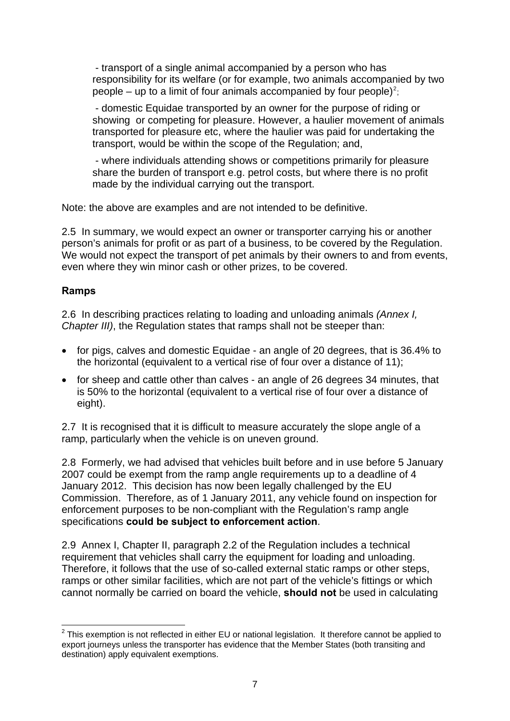<span id="page-7-0"></span> - transport of a single animal accompanied by a person who has responsibility for its welfare (or for example, two animals accompanied by two people – up to a limit of four animals accompanied by four people)<sup>[2](#page-7-1)</sup>;

 - domestic Equidae transported by an owner for the purpose of riding or showing or competing for pleasure. However, a haulier movement of animals transported for pleasure etc, where the haulier was paid for undertaking the transport, would be within the scope of the Regulation; and,

 - where individuals attending shows or competitions primarily for pleasure share the burden of transport e.g. petrol costs, but where there is no profit made by the individual carrying out the transport.

Note: the above are examples and are not intended to be definitive.

2.5 In summary, we would expect an owner or transporter carrying his or another person's animals for profit or as part of a business, to be covered by the Regulation. We would not expect the transport of pet animals by their owners to and from events, even where they win minor cash or other prizes, to be covered.

#### **Ramps**

2.6 In describing practices relating to loading and unloading animals *(Annex I, Chapter III)*, the Regulation states that ramps shall not be steeper than:

- for pigs, calves and domestic Equidae an angle of 20 degrees, that is 36.4% to the horizontal (equivalent to a vertical rise of four over a distance of 11);
- for sheep and cattle other than calves an angle of 26 degrees 34 minutes, that is 50% to the horizontal (equivalent to a vertical rise of four over a distance of eight).

2.7 It is recognised that it is difficult to measure accurately the slope angle of a ramp, particularly when the vehicle is on uneven ground.

2.8 Formerly, we had advised that vehicles built before and in use before 5 January 2007 could be exempt from the ramp angle requirements up to a deadline of 4 January 2012. This decision has now been legally challenged by the EU Commission. Therefore, as of 1 January 2011, any vehicle found on inspection for enforcement purposes to be non-compliant with the Regulation's ramp angle specifications **could be subject to enforcement action**.

2.9 Annex I, Chapter II, paragraph 2.2 of the Regulation includes a technical requirement that vehicles shall carry the equipment for loading and unloading. Therefore, it follows that the use of so-called external static ramps or other steps, ramps or other similar facilities, which are not part of the vehicle's fittings or which cannot normally be carried on board the vehicle, **should not** be used in calculating

<span id="page-7-1"></span><sup>1</sup>  $2$  This exemption is not reflected in either EU or national legislation. It therefore cannot be applied to export journeys unless the transporter has evidence that the Member States (both transiting and destination) apply equivalent exemptions.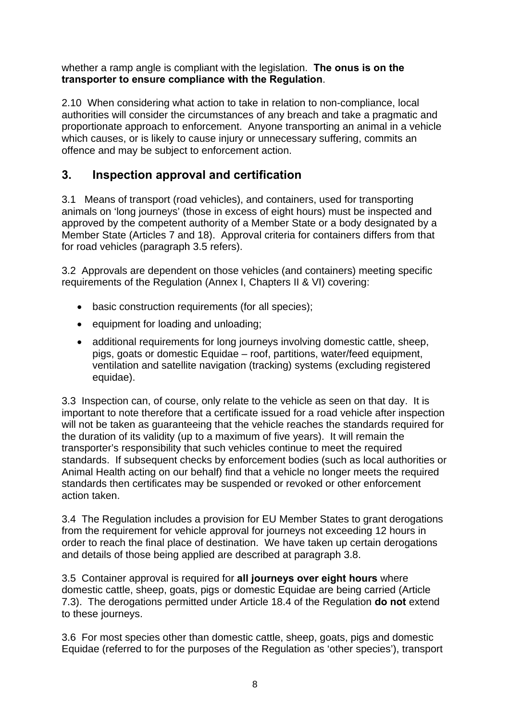<span id="page-8-0"></span>whether a ramp angle is compliant with the legislation. **The onus is on the transporter to ensure compliance with the Regulation**.

2.10 When considering what action to take in relation to non-compliance, local authorities will consider the circumstances of any breach and take a pragmatic and proportionate approach to enforcement. Anyone transporting an animal in a vehicle which causes, or is likely to cause injury or unnecessary suffering, commits an offence and may be subject to enforcement action.

## **3. Inspection approval and certification**

3.1 Means of transport (road vehicles), and containers, used for transporting animals on 'long journeys' (those in excess of eight hours) must be inspected and approved by the competent authority of a Member State or a body designated by a Member State (Articles 7 and 18). Approval criteria for containers differs from that for road vehicles (paragraph 3.5 refers).

3.2 Approvals are dependent on those vehicles (and containers) meeting specific requirements of the Regulation (Annex I, Chapters II & VI) covering:

- basic construction requirements (for all species);
- equipment for loading and unloading;
- additional requirements for long journeys involving domestic cattle, sheep, pigs, goats or domestic Equidae – roof, partitions, water/feed equipment, ventilation and satellite navigation (tracking) systems (excluding registered equidae).

3.3 Inspection can, of course, only relate to the vehicle as seen on that day. It is important to note therefore that a certificate issued for a road vehicle after inspection will not be taken as guaranteeing that the vehicle reaches the standards required for the duration of its validity (up to a maximum of five years). It will remain the transporter's responsibility that such vehicles continue to meet the required standards. If subsequent checks by enforcement bodies (such as local authorities or Animal Health acting on our behalf) find that a vehicle no longer meets the required standards then certificates may be suspended or revoked or other enforcement action taken.

3.4 The Regulation includes a provision for EU Member States to grant derogations from the requirement for vehicle approval for journeys not exceeding 12 hours in order to reach the final place of destination. We have taken up certain derogations and details of those being applied are described at paragraph 3.8.

3.5 Container approval is required for **all journeys over eight hours** where domestic cattle, sheep, goats, pigs or domestic Equidae are being carried (Article 7.3). The derogations permitted under Article 18.4 of the Regulation **do not** extend to these journeys.

3.6 For most species other than domestic cattle, sheep, goats, pigs and domestic Equidae (referred to for the purposes of the Regulation as 'other species'), transport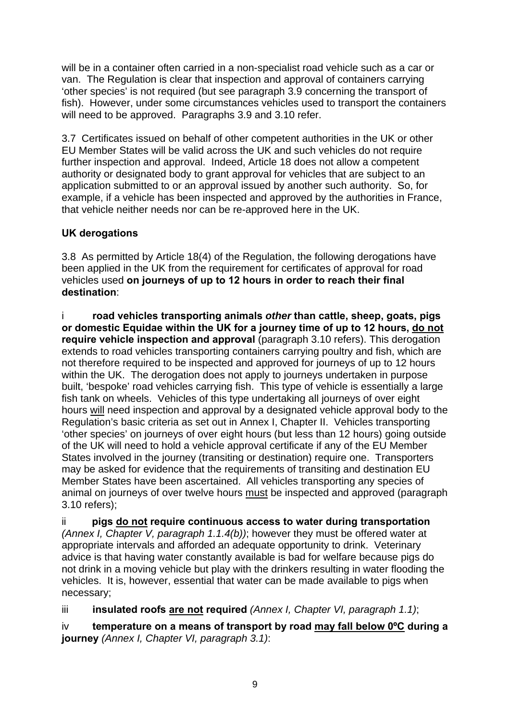<span id="page-9-0"></span>will be in a container often carried in a non-specialist road vehicle such as a car or van. The Regulation is clear that inspection and approval of containers carrying 'other species' is not required (but see paragraph 3.9 concerning the transport of fish). However, under some circumstances vehicles used to transport the containers will need to be approved. Paragraphs 3.9 and 3.10 refer.

3.7 Certificates issued on behalf of other competent authorities in the UK or other EU Member States will be valid across the UK and such vehicles do not require further inspection and approval. Indeed, Article 18 does not allow a competent authority or designated body to grant approval for vehicles that are subject to an application submitted to or an approval issued by another such authority. So, for example, if a vehicle has been inspected and approved by the authorities in France, that vehicle neither needs nor can be re-approved here in the UK.

#### **UK derogations**

3.8 As permitted by Article 18(4) of the Regulation, the following derogations have been applied in the UK from the requirement for certificates of approval for road vehicles used **on journeys of up to 12 hours in order to reach their final destination**:

i **road vehicles transporting animals** *other* **than cattle, sheep, goats, pigs or domestic Equidae within the UK for a journey time of up to 12 hours, do not require vehicle inspection and approval** (paragraph 3.10 refers). This derogation extends to road vehicles transporting containers carrying poultry and fish, which are not therefore required to be inspected and approved for journeys of up to 12 hours within the UK. The derogation does not apply to journeys undertaken in purpose built, 'bespoke' road vehicles carrying fish. This type of vehicle is essentially a large fish tank on wheels. Vehicles of this type undertaking all journeys of over eight hours will need inspection and approval by a designated vehicle approval body to the Regulation's basic criteria as set out in Annex I, Chapter II. Vehicles transporting 'other species' on journeys of over eight hours (but less than 12 hours) going outside of the UK will need to hold a vehicle approval certificate if any of the EU Member States involved in the journey (transiting or destination) require one. Transporters may be asked for evidence that the requirements of transiting and destination EU Member States have been ascertained. All vehicles transporting any species of animal on journeys of over twelve hours must be inspected and approved (paragraph 3.10 refers);

ii **pigs do not require continuous access to water during transportation**  *(Annex I, Chapter V, paragraph 1.1.4(b))*; however they must be offered water at appropriate intervals and afforded an adequate opportunity to drink. Veterinary advice is that having water constantly available is bad for welfare because pigs do not drink in a moving vehicle but play with the drinkers resulting in water flooding the vehicles. It is, however, essential that water can be made available to pigs when necessary;

iii **insulated roofs are not required** *(Annex I, Chapter VI, paragraph 1.1)*;

iv **temperature on a means of transport by road may fall below 0ºC during a journey** *(Annex I, Chapter VI, paragraph 3.1)*: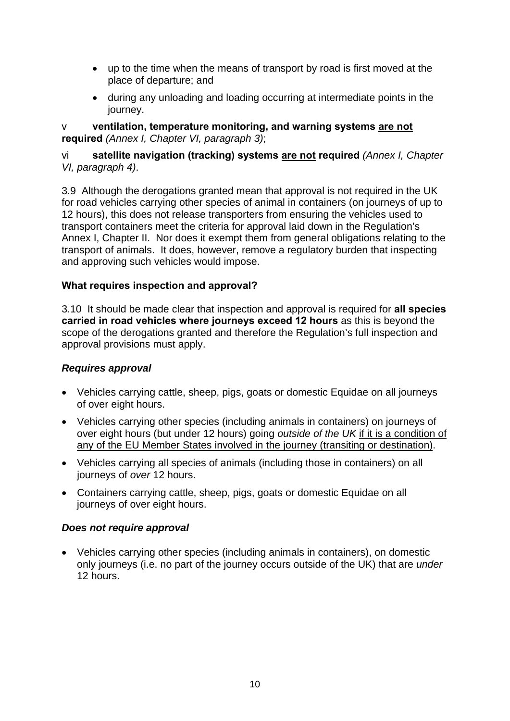- <span id="page-10-0"></span>• up to the time when the means of transport by road is first moved at the place of departure; and
- during any unloading and loading occurring at intermediate points in the journey.

v **ventilation, temperature monitoring, and warning systems are not required** *(Annex I, Chapter VI, paragraph 3)*;

#### vi **satellite navigation (tracking) systems are not required** *(Annex I, Chapter VI, paragraph 4)*.

3.9 Although the derogations granted mean that approval is not required in the UK for road vehicles carrying other species of animal in containers (on journeys of up to 12 hours), this does not release transporters from ensuring the vehicles used to transport containers meet the criteria for approval laid down in the Regulation's Annex I, Chapter II. Nor does it exempt them from general obligations relating to the transport of animals. It does, however, remove a regulatory burden that inspecting and approving such vehicles would impose.

#### **What requires inspection and approval?**

3.10 It should be made clear that inspection and approval is required for **all species carried in road vehicles where journeys exceed 12 hours** as this is beyond the scope of the derogations granted and therefore the Regulation's full inspection and approval provisions must apply.

#### *Requires approval*

- Vehicles carrying cattle, sheep, pigs, goats or domestic Equidae on all journeys of over eight hours.
- Vehicles carrying other species (including animals in containers) on journeys of over eight hours (but under 12 hours) going *outside of the UK* if it is a condition of any of the EU Member States involved in the journey (transiting or destination).
- Vehicles carrying all species of animals (including those in containers) on all journeys of *over* 12 hours.
- Containers carrying cattle, sheep, pigs, goats or domestic Equidae on all journeys of over eight hours.

#### *Does not require approval*

• Vehicles carrying other species (including animals in containers), on domestic only journeys (i.e. no part of the journey occurs outside of the UK) that are *under* 12 hours.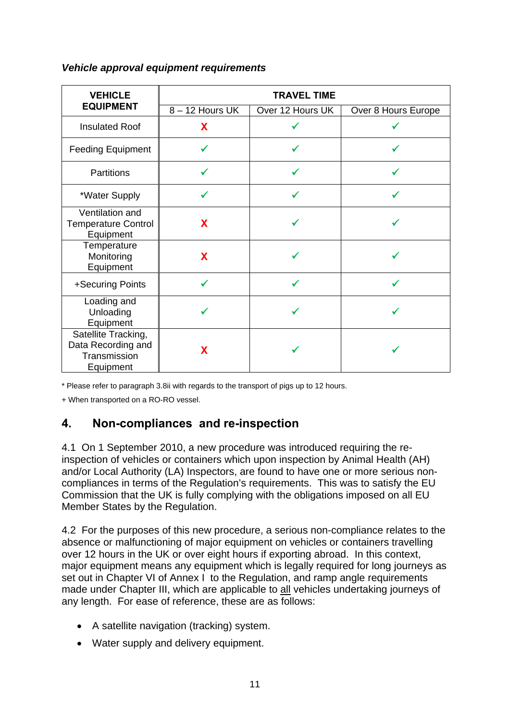#### **VEHICLE EQUIPMENT TRAVEL TIME**  8 – 12 Hours UK | Over 12 Hours UK | Over 8 Hours Europe Insulated Roof **Χ** 9 9 Feeding Equipment  $\begin{array}{ccc} \sim & \begin{array}{ccc} \sim & \end{array} & \begin{array}{ccc} \sim & \end{array} & \begin{array}{ccc} \sim & \end{array} & \begin{array}{ccc} \sim & \end{array} & \begin{array}{ccc} \sim & \end{array} \end{array}$ Partitions  $\begin{array}{ccc} \sim & \sim & \sim & \sim \end{array}$ \*Water Supply  $\parallel$   $\checkmark$   $\parallel$   $\checkmark$   $\downarrow$ Ventilation and Temperature Control **Equipment Χ** 9 <del>γ</del> 9 <del>γ</del> **Temperature** Monitoring Equipment **x** 9 <del>√</del> 9 √ +Securing Points 9 9 9 Loading and Unloading Equipment 9 9 9 Satellite Tracking, Data Recording and **Transmission Equipment x** 9 <del>√</del> 9 √

#### <span id="page-11-0"></span>*Vehicle approval equipment requirements*

\* Please refer to paragraph 3.8ii with regards to the transport of pigs up to 12 hours.

+ When transported on a RO-RO vessel.

#### **4. Non-compliances and re-inspection**

4.1 On 1 September 2010, a new procedure was introduced requiring the reinspection of vehicles or containers which upon inspection by Animal Health (AH) and/or Local Authority (LA) Inspectors, are found to have one or more serious noncompliances in terms of the Regulation's requirements. This was to satisfy the EU Commission that the UK is fully complying with the obligations imposed on all EU Member States by the Regulation.

4.2 For the purposes of this new procedure, a serious non-compliance relates to the absence or malfunctioning of major equipment on vehicles or containers travelling over 12 hours in the UK or over eight hours if exporting abroad. In this context, major equipment means any equipment which is legally required for long journeys as set out in Chapter VI of Annex I to the Regulation, and ramp angle requirements made under Chapter III, which are applicable to all vehicles undertaking journeys of any length. For ease of reference, these are as follows:

- A satellite navigation (tracking) system.
- Water supply and delivery equipment.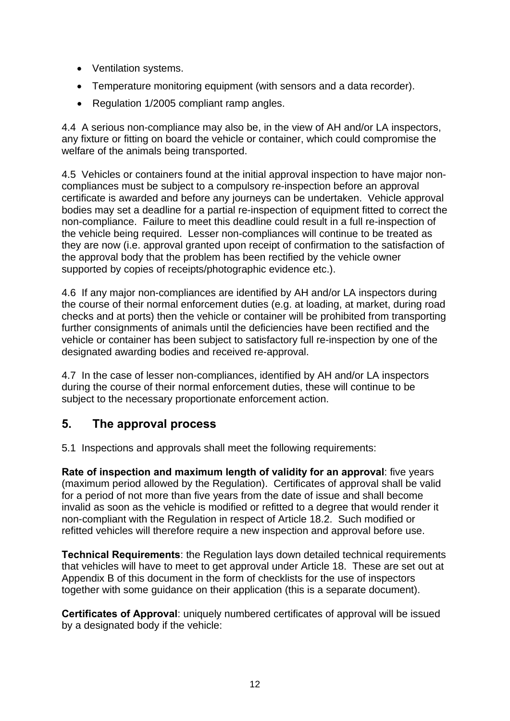- <span id="page-12-0"></span>• Ventilation systems.
- Temperature monitoring equipment (with sensors and a data recorder).
- Regulation 1/2005 compliant ramp angles.

4.4 A serious non-compliance may also be, in the view of AH and/or LA inspectors, any fixture or fitting on board the vehicle or container, which could compromise the welfare of the animals being transported.

4.5 Vehicles or containers found at the initial approval inspection to have major noncompliances must be subject to a compulsory re-inspection before an approval certificate is awarded and before any journeys can be undertaken. Vehicle approval bodies may set a deadline for a partial re-inspection of equipment fitted to correct the non-compliance. Failure to meet this deadline could result in a full re-inspection of the vehicle being required. Lesser non-compliances will continue to be treated as they are now (i.e. approval granted upon receipt of confirmation to the satisfaction of the approval body that the problem has been rectified by the vehicle owner supported by copies of receipts/photographic evidence etc.).

4.6 If any major non-compliances are identified by AH and/or LA inspectors during the course of their normal enforcement duties (e.g. at loading, at market, during road checks and at ports) then the vehicle or container will be prohibited from transporting further consignments of animals until the deficiencies have been rectified and the vehicle or container has been subject to satisfactory full re-inspection by one of the designated awarding bodies and received re-approval.

4.7 In the case of lesser non-compliances, identified by AH and/or LA inspectors during the course of their normal enforcement duties, these will continue to be subject to the necessary proportionate enforcement action.

## **5. The approval process**

5.1 Inspections and approvals shall meet the following requirements:

**Rate of inspection and maximum length of validity for an approval**: five years (maximum period allowed by the Regulation). Certificates of approval shall be valid for a period of not more than five years from the date of issue and shall become invalid as soon as the vehicle is modified or refitted to a degree that would render it non-compliant with the Regulation in respect of Article 18.2. Such modified or refitted vehicles will therefore require a new inspection and approval before use.

**Technical Requirements**: the Regulation lays down detailed technical requirements that vehicles will have to meet to get approval under Article 18. These are set out at Appendix B of this document in the form of checklists for the use of inspectors together with some guidance on their application (this is a separate document).

**Certificates of Approval:** uniquely numbered certificates of approval will be issued by a designated body if the vehicle: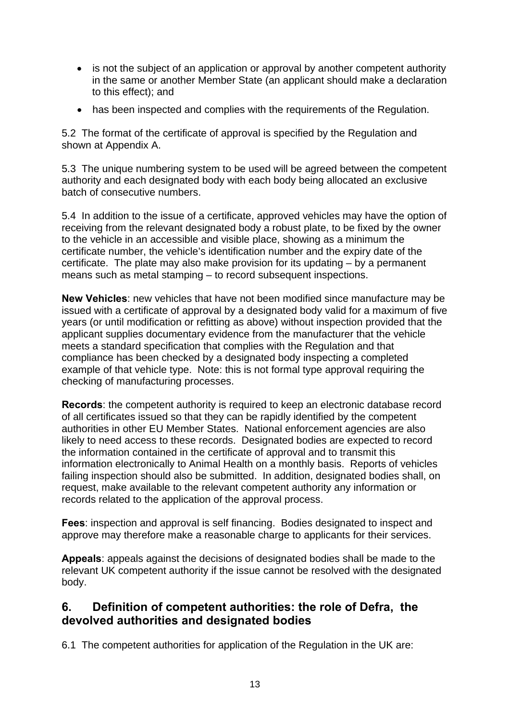- <span id="page-13-0"></span>• is not the subject of an application or approval by another competent authority in the same or another Member State (an applicant should make a declaration to this effect); and
- has been inspected and complies with the requirements of the Regulation.

5.2 The format of the certificate of approval is specified by the Regulation and shown at Appendix A.

5.3 The unique numbering system to be used will be agreed between the competent authority and each designated body with each body being allocated an exclusive batch of consecutive numbers.

5.4 In addition to the issue of a certificate, approved vehicles may have the option of receiving from the relevant designated body a robust plate, to be fixed by the owner to the vehicle in an accessible and visible place, showing as a minimum the certificate number, the vehicle's identification number and the expiry date of the certificate. The plate may also make provision for its updating – by a permanent means such as metal stamping – to record subsequent inspections.

**New Vehicles**: new vehicles that have not been modified since manufacture may be issued with a certificate of approval by a designated body valid for a maximum of five years (or until modification or refitting as above) without inspection provided that the applicant supplies documentary evidence from the manufacturer that the vehicle meets a standard specification that complies with the Regulation and that compliance has been checked by a designated body inspecting a completed example of that vehicle type. Note: this is not formal type approval requiring the checking of manufacturing processes.

**Records**: the competent authority is required to keep an electronic database record of all certificates issued so that they can be rapidly identified by the competent authorities in other EU Member States. National enforcement agencies are also likely to need access to these records. Designated bodies are expected to record the information contained in the certificate of approval and to transmit this information electronically to Animal Health on a monthly basis. Reports of vehicles failing inspection should also be submitted. In addition, designated bodies shall, on request, make available to the relevant competent authority any information or records related to the application of the approval process.

**Fees**: inspection and approval is self financing. Bodies designated to inspect and approve may therefore make a reasonable charge to applicants for their services.

**Appeals**: appeals against the decisions of designated bodies shall be made to the relevant UK competent authority if the issue cannot be resolved with the designated body.

### **6. Definition of competent authorities: the role of Defra, the devolved authorities and designated bodies**

6.1 The competent authorities for application of the Regulation in the UK are: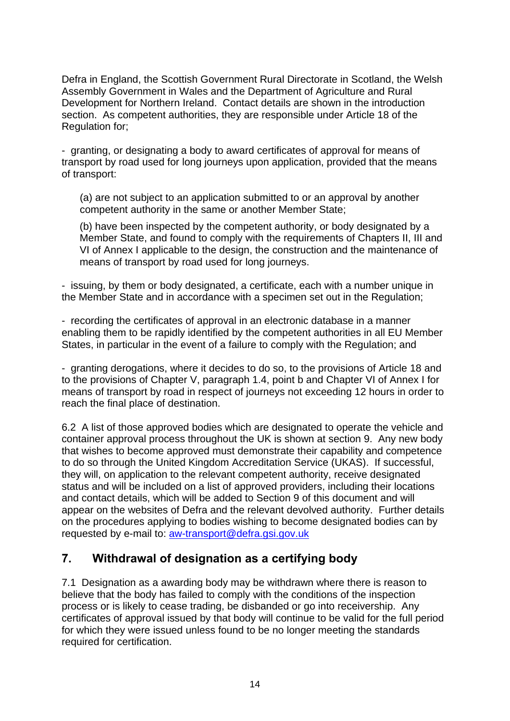<span id="page-14-0"></span>Defra in England, the Scottish Government Rural Directorate in Scotland, the Welsh Assembly Government in Wales and the Department of Agriculture and Rural Development for Northern Ireland. Contact details are shown in the introduction section. As competent authorities, they are responsible under Article 18 of the Regulation for;

- granting, or designating a body to award certificates of approval for means of transport by road used for long journeys upon application, provided that the means of transport:

(a) are not subject to an application submitted to or an approval by another competent authority in the same or another Member State;

(b) have been inspected by the competent authority, or body designated by a Member State, and found to comply with the requirements of Chapters II, III and VI of Annex I applicable to the design, the construction and the maintenance of means of transport by road used for long journeys.

- issuing, by them or body designated, a certificate, each with a number unique in the Member State and in accordance with a specimen set out in the Regulation;

- recording the certificates of approval in an electronic database in a manner enabling them to be rapidly identified by the competent authorities in all EU Member States, in particular in the event of a failure to comply with the Regulation; and

- granting derogations, where it decides to do so, to the provisions of Article 18 and to the provisions of Chapter V, paragraph 1.4, point b and Chapter VI of Annex I for means of transport by road in respect of journeys not exceeding 12 hours in order to reach the final place of destination.

6.2 A list of those approved bodies which are designated to operate the vehicle and container approval process throughout the UK is shown at section 9. Any new body that wishes to become approved must demonstrate their capability and competence to do so through the United Kingdom Accreditation Service (UKAS). If successful, they will, on application to the relevant competent authority, receive designated status and will be included on a list of approved providers, including their locations and contact details, which will be added to Section 9 of this document and will appear on the websites of Defra and the relevant devolved authority. Further details on the procedures applying to bodies wishing to become designated bodies can by requested by e-mail to: [aw-transport@defra.gsi.gov.uk](mailto:aw-transport@defra.gsi.gov.uk)

## **7. Withdrawal of designation as a certifying body**

7.1 Designation as a awarding body may be withdrawn where there is reason to believe that the body has failed to comply with the conditions of the inspection process or is likely to cease trading, be disbanded or go into receivership. Any certificates of approval issued by that body will continue to be valid for the full period for which they were issued unless found to be no longer meeting the standards required for certification.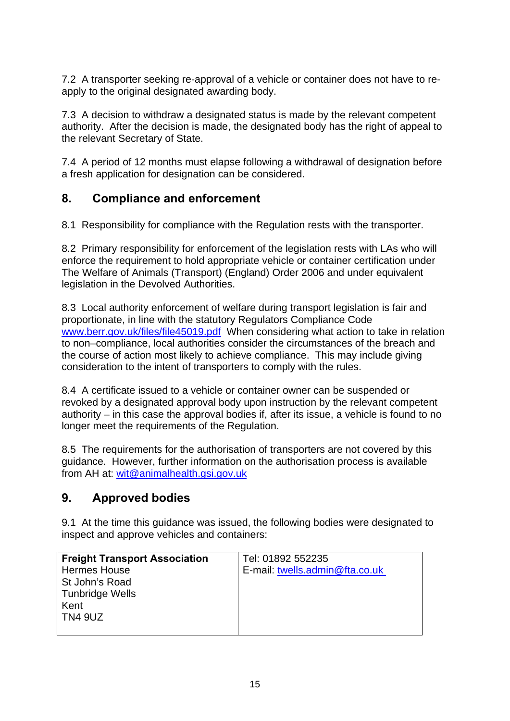<span id="page-15-0"></span>7.2 A transporter seeking re-approval of a vehicle or container does not have to reapply to the original designated awarding body.

7.3 A decision to withdraw a designated status is made by the relevant competent authority. After the decision is made, the designated body has the right of appeal to the relevant Secretary of State.

7.4 A period of 12 months must elapse following a withdrawal of designation before a fresh application for designation can be considered.

## **8. Compliance and enforcement**

8.1 Responsibility for compliance with the Regulation rests with the transporter.

8.2 Primary responsibility for enforcement of the legislation rests with LAs who will enforce the requirement to hold appropriate vehicle or container certification under The Welfare of Animals (Transport) (England) Order 2006 and under equivalent legislation in the Devolved Authorities.

8.3 Local authority enforcement of welfare during transport legislation is fair and proportionate, in line with the statutory Regulators Compliance Code [www.berr.gov.uk/files/file45019.pdf](http://www.berr.gov.uk/files/file45019.pdf) When considering what action to take in relation to non–compliance, local authorities consider the circumstances of the breach and the course of action most likely to achieve compliance. This may include giving consideration to the intent of transporters to comply with the rules.

8.4 A certificate issued to a vehicle or container owner can be suspended or revoked by a designated approval body upon instruction by the relevant competent authority – in this case the approval bodies if, after its issue, a vehicle is found to no longer meet the requirements of the Regulation.

8.5 The requirements for the authorisation of transporters are not covered by this guidance. However, further information on the authorisation process is available from AH at: [wit@animalhealth.gsi.gov.uk](mailto:wit@animalhealth.gsi.gov.uk)

## **9. Approved bodies**

9.1 At the time this guidance was issued, the following bodies were designated to inspect and approve vehicles and containers:

| <b>Freight Transport Association</b> | Tel: 01892 552235              |
|--------------------------------------|--------------------------------|
| <b>Hermes House</b>                  | E-mail: twells.admin@fta.co.uk |
| St John's Road                       |                                |
| Tunbridge Wells                      |                                |
| Kent                                 |                                |
| <b>TN4 9UZ</b>                       |                                |
|                                      |                                |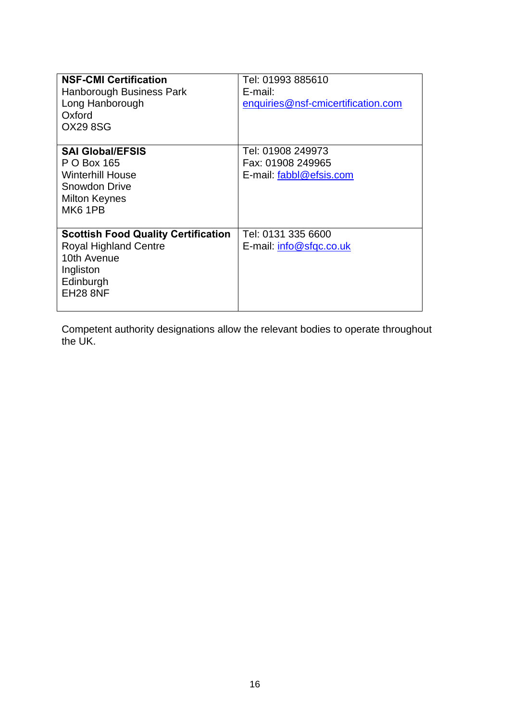| <b>NSF-CMI Certification</b><br>Hanborough Business Park<br>Long Hanborough<br>Oxford<br><b>OX29 8SG</b>                               | Tel: 01993 885610<br>E-mail:<br>enquiries@nsf-cmicertification.com |
|----------------------------------------------------------------------------------------------------------------------------------------|--------------------------------------------------------------------|
| <b>SAI GIobal/EFSIS</b><br>P O Box 165<br><b>Winterhill House</b><br>Snowdon Drive<br><b>Milton Keynes</b><br>MK <sub>6</sub> 1PB      | Tel: 01908 249973<br>Fax: 01908 249965<br>E-mail: fabbl@efsis.com  |
| <b>Scottish Food Quality Certification</b><br><b>Royal Highland Centre</b><br>10th Avenue<br>Ingliston<br>Edinburgh<br><b>EH28 8NF</b> | Tel: 0131 335 6600<br>E-mail: info@sfqc.co.uk                      |

Competent authority designations allow the relevant bodies to operate throughout the UK.